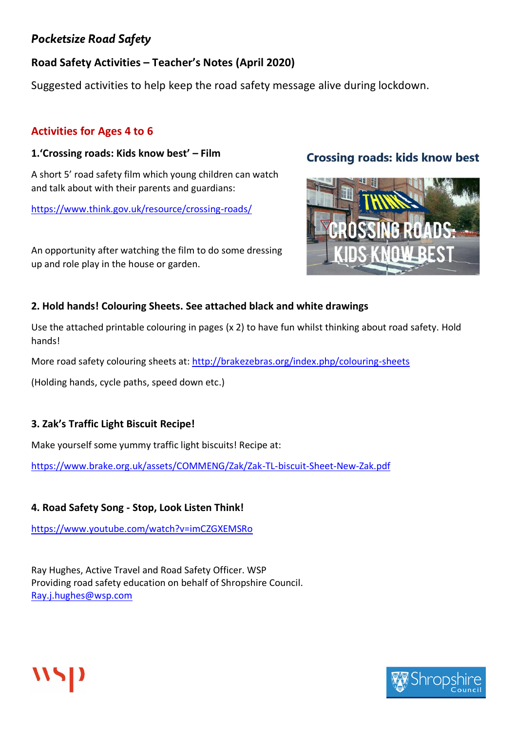# **Road Safety Activities – Teacher's Notes (April 2020)**

Suggested activities to help keep the road safety message alive during lockdown.

## **Activities for Ages 4 to 6**

#### **1.'Crossing roads: Kids know best' – Film**

A short 5' road safety film which young children can watch and talk about with their parents and guardians:

<https://www.think.gov.uk/resource/crossing-roads/>

An opportunity after watching the film to do some dressing up and role play in the house or garden.

# **Crossing roads: kids know best**



### **2. Hold hands! Colouring Sheets. See attached black and white drawings**

Use the attached printable colouring in pages (x 2) to have fun whilst thinking about road safety. Hold hands!

More road safety colouring sheets at:<http://brakezebras.org/index.php/colouring-sheets>

(Holding hands, cycle paths, speed down etc.)

### **3. Zak's Traffic Light Biscuit Recipe!**

Make yourself some yummy traffic light biscuits! Recipe at:

<https://www.brake.org.uk/assets/COMMENG/Zak/Zak-TL-biscuit-Sheet-New-Zak.pdf>

### **4. Road Safety Song - Stop, Look Listen Think!**

<https://www.youtube.com/watch?v=imCZGXEMSRo>

Ray Hughes, Active Travel and Road Safety Officer. WSP Providing road safety education on behalf of Shropshire Council. [Ray.j.hughes@wsp.com](mailto:Ray.j.hughes@wsp.com)



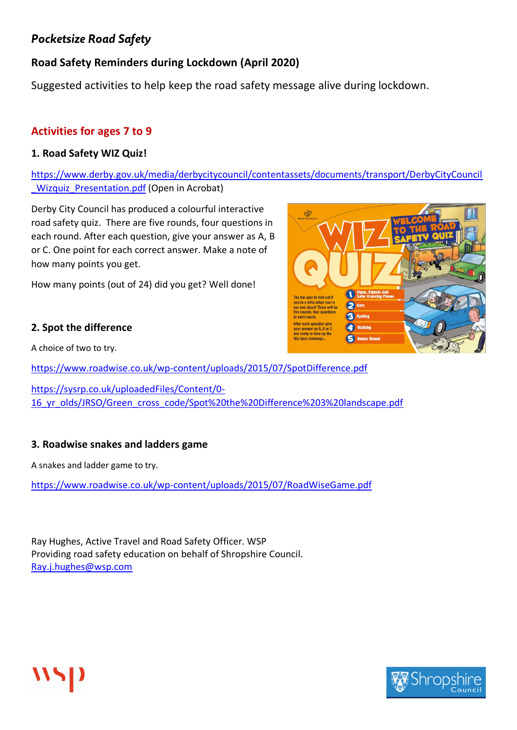# **Road Safety Reminders during Lockdown (April 2020)**

Suggested activities to help keep the road safety message alive during lockdown.

### **Activities for ages 7 to 9**

#### **1. Road Safety WIZ Quiz!**

[https://www.derby.gov.uk/media/derbycitycouncil/contentassets/documents/transport/DerbyCityCouncil](https://www.derby.gov.uk/media/derbycitycouncil/contentassets/documents/transport/DerbyCityCouncil_Wizquiz_Presentation.pdf) Wizquiz Presentation.pdf (Open in Acrobat)

Derby City Council has produced a colourful interactive road safety quiz. There are five rounds, four questions in each round. After each question, give your answer as A, B or C. One point for each correct answer. Make a note of how many points you get.

How many points (out of 24) did you get? Well done!

#### **2. Spot the difference**

A choice of two to try.

<https://www.roadwise.co.uk/wp-content/uploads/2015/07/SpotDifference.pdf>

[https://sysrp.co.uk/uploadedFiles/Content/0-](https://sysrp.co.uk/uploadedFiles/Content/0-16_yr_olds/JRSO/Green_cross_code/Spot%20the%20Difference%203%20landscape.pdf) [16\\_yr\\_olds/JRSO/Green\\_cross\\_code/Spot%20the%20Difference%203%20landscape.pdf](https://sysrp.co.uk/uploadedFiles/Content/0-16_yr_olds/JRSO/Green_cross_code/Spot%20the%20Difference%203%20landscape.pdf)

#### **3. Roadwise snakes and ladders game**

A snakes and ladder game to try.

<https://www.roadwise.co.uk/wp-content/uploads/2015/07/RoadWiseGame.pdf>

Ray Hughes, Active Travel and Road Safety Officer. WSP Providing road safety education on behalf of Shropshire Council. [Ray.j.hughes@wsp.com](mailto:Ray.j.hughes@wsp.com)



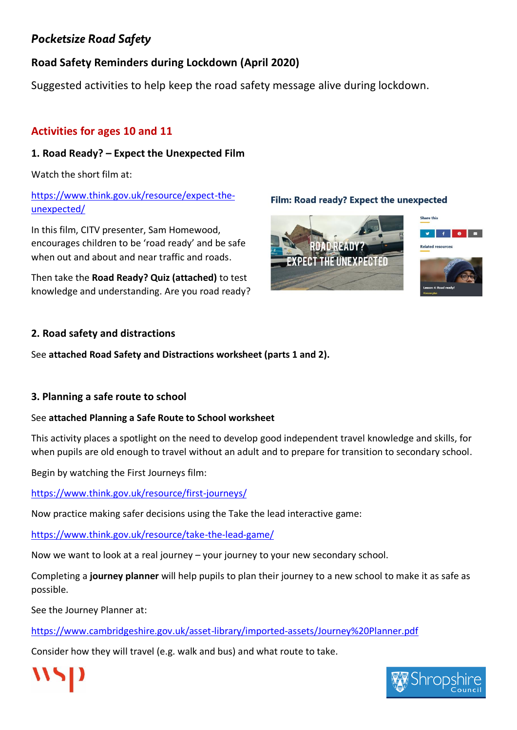# **Road Safety Reminders during Lockdown (April 2020)**

Suggested activities to help keep the road safety message alive during lockdown.

# **Activities for ages 10 and 11**

# **1. Road Ready? – Expect the Unexpected Film**

Watch the short film at:

## [https://www.think.gov.uk/resource/expect-the](https://www.think.gov.uk/resource/expect-the-unexpected/)[unexpected/](https://www.think.gov.uk/resource/expect-the-unexpected/)

In this film, CITV presenter, Sam Homewood, encourages children to be 'road ready' and be safe when out and about and near traffic and roads.

Then take the **Road Ready? Quiz (attached)** to test knowledge and understanding. Are you road ready?



Film: Road ready? Expect the unexpected



#### **2. Road safety and distractions**

See **attached Road Safety and Distractions worksheet (parts 1 and 2).**

### **3. Planning a safe route to school**

### See **attached Planning a Safe Route to School worksheet**

This activity places a spotlight on the need to develop good independent travel knowledge and skills, for when pupils are old enough to travel without an adult and to prepare for transition to secondary school.

Begin by watching the First Journeys film:

<https://www.think.gov.uk/resource/first-journeys/>

Now practice making safer decisions using the Take the lead interactive game:

<https://www.think.gov.uk/resource/take-the-lead-game/>

Now we want to look at a real journey – your journey to your new secondary school.

Completing a **journey planner** will help pupils to plan their journey to a new school to make it as safe as possible.

See the Journey Planner at:

<https://www.cambridgeshire.gov.uk/asset-library/imported-assets/Journey%20Planner.pdf>

Consider how they will travel (e.g. walk and bus) and what route to take.



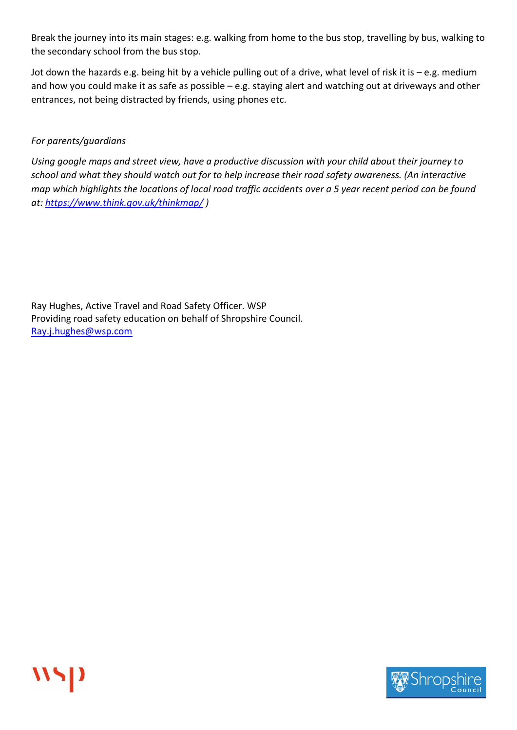Break the journey into its main stages: e.g. walking from home to the bus stop, travelling by bus, walking to the secondary school from the bus stop.

Jot down the hazards e.g. being hit by a vehicle pulling out of a drive, what level of risk it is – e.g. medium and how you could make it as safe as possible – e.g. staying alert and watching out at driveways and other entrances, not being distracted by friends, using phones etc.

#### *For parents/guardians*

*Using google maps and street view, have a productive discussion with your child about their journey to school and what they should watch out for to help increase their road safety awareness. (An interactive map which highlights the locations of local road traffic accidents over a 5 year recent period can be found at:<https://www.think.gov.uk/thinkmap/> )*

Ray Hughes, Active Travel and Road Safety Officer. WSP Providing road safety education on behalf of Shropshire Council. [Ray.j.hughes@wsp.com](mailto:Ray.j.hughes@wsp.com)